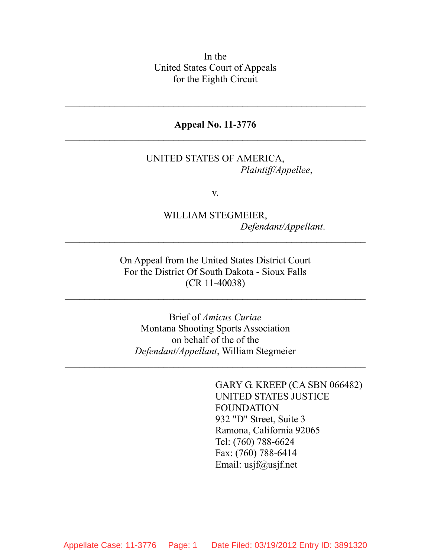In the United States Court of Appeals for the Eighth Circuit

#### **Appeal No. 11-3776**   $\mathcal{L}_\text{max}$  , and the contract of the contract of the contract of the contract of the contract of the contract of the contract of the contract of the contract of the contract of the contract of the contract of the contr

 $\overline{\phantom{a}}$  , and the contribution of the contribution of the contribution of the contribution of the contribution of the contribution of the contribution of the contribution of the contribution of the contribution of the

#### UNITED STATES OF AMERICA, *Plaintiff/Appellee*,

v.

### WILLIAM STEGMEIER, *Defendant/Appellant*.

On Appeal from the United States District Court For the District Of South Dakota - Sioux Falls (CR 11-40038)

 $\mathcal{L}_\text{max}$  , and the contract of the contract of the contract of the contract of the contract of the contract of the contract of the contract of the contract of the contract of the contract of the contract of the contr

 $\overline{\phantom{a}}$  , and the contribution of the contribution of the contribution of the contribution of the contribution of the contribution of the contribution of the contribution of the contribution of the contribution of the

Brief of *Amicus Curiae* Montana Shooting Sports Association on behalf of the of the *Defendant/Appellant*, William Stegmeier

 $\mathcal{L}_\text{max}$  , and the contract of the contract of the contract of the contract of the contract of the contract of the contract of the contract of the contract of the contract of the contract of the contract of the contr

GARY G. KREEP (CA SBN 066482) UNITED STATES JUSTICE FOUNDATION 932 "D" Street, Suite 3 Ramona, California 92065 Tel: (760) 788-6624 Fax: (760) 788-6414 Email: usjf@usjf.net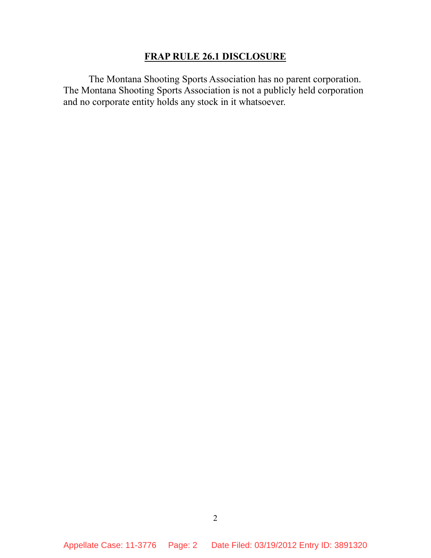#### **FRAP RULE 26.1 DISCLOSURE**

The Montana Shooting Sports Association has no parent corporation. The Montana Shooting Sports Association is not a publicly held corporation and no corporate entity holds any stock in it whatsoever.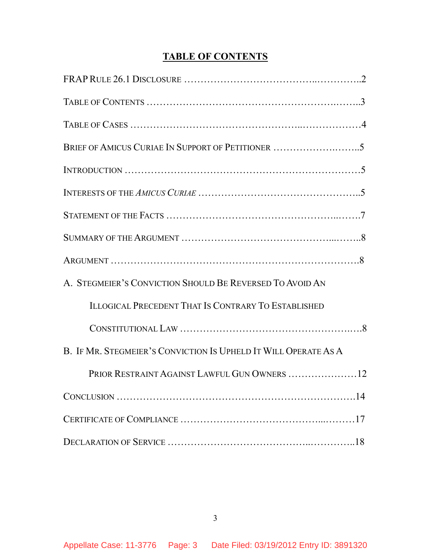## **TABLE OF CONTENTS**

| A. STEGMEIER'S CONVICTION SHOULD BE REVERSED TO AVOID AN        |
|-----------------------------------------------------------------|
| <b>ILLOGICAL PRECEDENT THAT IS CONTRARY TO ESTABLISHED</b>      |
|                                                                 |
| B. IF MR. STEGMEIER'S CONVICTION IS UPHELD IT WILL OPERATE AS A |
| PRIOR RESTRAINT AGAINST LAWFUL GUN OWNERS  12                   |
|                                                                 |
|                                                                 |
|                                                                 |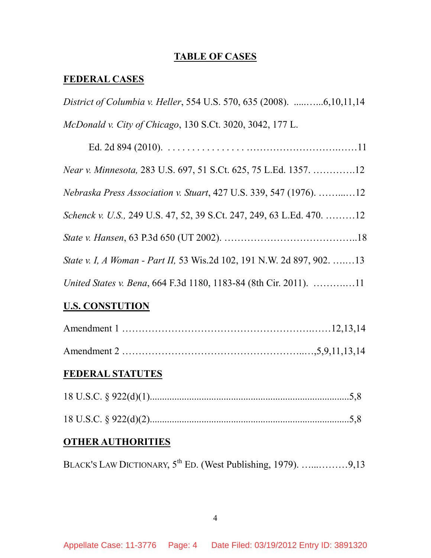#### **TABLE OF CASES**

## **FEDERAL CASES**

| District of Columbia v. Heller, 554 U.S. 570, 635 (2008). 6,10,11,14      |
|---------------------------------------------------------------------------|
| McDonald v. City of Chicago, 130 S.Ct. 3020, 3042, 177 L.                 |
|                                                                           |
| Near v. Minnesota, 283 U.S. 697, 51 S.Ct. 625, 75 L.Ed. 1357. 12          |
| <i>Nebraska Press Association v. Stuart, 427 U.S. 339, 547 (1976).</i> 12 |
| Schenck v. U.S., 249 U.S. 47, 52, 39 S.Ct. 247, 249, 63 L.Ed. 470. 12     |
|                                                                           |
| State v. I, A Woman - Part II, 53 Wis.2d 102, 191 N.W. 2d 897, 902. 13    |
|                                                                           |

### **U.S. CONSTUTION**

## **FEDERAL STATUTES**

#### **OTHER AUTHORITIES**

BLACK'S LAW DICTIONARY,  $5^{th}$  ED. (West Publishing, 1979). ….............9,13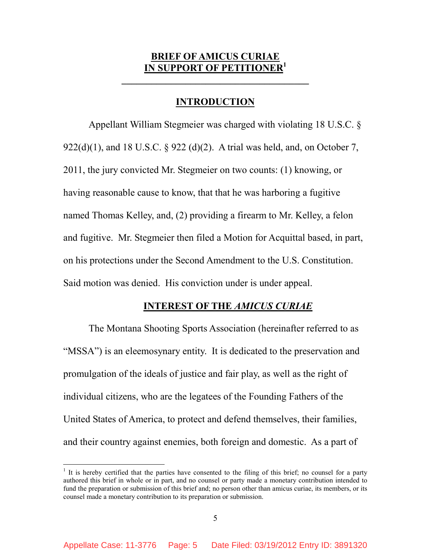#### **BRIEF OF AMICUS CURIA IN SUPPORT OF PETIT**

**\_\_\_\_\_\_\_\_\_\_\_\_\_\_\_\_\_\_\_\_\_\_\_\_\_\_\_\_\_\_\_\_\_\_\_\_\_\_** 

#### **INTRODUCTION**

Appellant William Stegmeier was charged with violating 18 U.S.C. § 922(d)(1), and 18 U.S.C. § 922 (d)(2). A trial was held, and, on October 7, 2011, the jury convicted Mr. Stegmeier on two counts: (1) knowing, or having reasonable cause to know, that that he was harboring a fugitive named Thomas Kelley, and, (2) providing a firearm to Mr. Kelley, a felon and fugitive. Mr. Stegmeier then filed a Motion for Acquittal based, in part, on his protections under the Second Amendment to the U.S. Constitution. Said motion was denied. His conviction under is under appeal.

#### **INTEREST OF THE** *AMICUS CURIAE*

The Montana Shooting Sports Association (hereinafter referred to as "MSSA") is an eleemosynary entity. It is dedicated to the preservation and promulgation of the ideals of justice and fair play, as well as the right of individual citizens, who are the legatees of the Founding Fathers of the United States of America, to protect and defend themselves, their families, and their country against enemies, both foreign and domestic. As a part of

<u>.</u>

<sup>&</sup>lt;sup>1</sup> It is hereby certified that the parties have consented to the filing of this brief; no counsel for a party authored this brief in whole or in part, and no counsel or party made a monetary contribution intended to fund the preparation or submission of this brief and; no person other than amicus curiae, its members, or its counsel made a monetary contribution to its preparation or submission.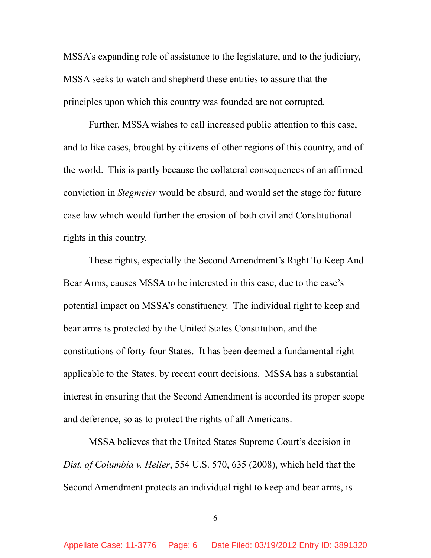MSSA's expanding role of assistance to the legislature, and to the judiciary, MSSA seeks to watch and shepherd these entities to assure that the principles upon which this country was founded are not corrupted.

Further, MSSA wishes to call increased public attention to this case, and to like cases, brought by citizens of other regions of this country, and of the world. This is partly because the collateral consequences of an affirmed conviction in *Stegmeier* would be absurd, and would set the stage for future case law which would further the erosion of both civil and Constitutional rights in this country.

These rights, especially the Second Amendment's Right To Keep And Bear Arms, causes MSSA to be interested in this case, due to the case's potential impact on MSSA's constituency. The individual right to keep and bear arms is protected by the United States Constitution, and the constitutions of forty-four States. It has been deemed a fundamental right applicable to the States, by recent court decisions. MSSA has a substantial interest in ensuring that the Second Amendment is accorded its proper scope and deference, so as to protect the rights of all Americans.

MSSA believes that the United States Supreme Court's decision in *Dist. of Columbia v. Heller*, 554 U.S. 570, 635 (2008), which held that the Second Amendment protects an individual right to keep and bear arms, is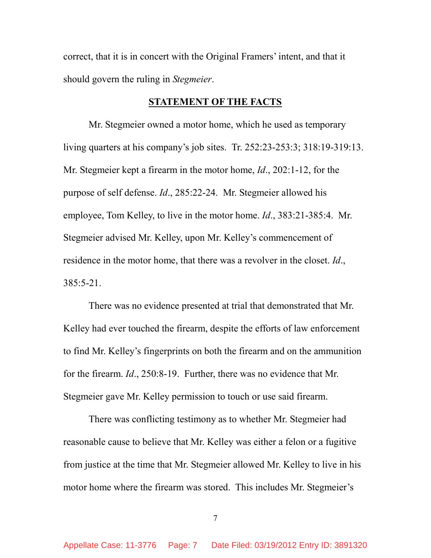correct, that it is in concert with the Original Framers' intent, and that it should govern the ruling in *Stegmeier*.

#### **STATEMENT OF THE FACTS**

Mr. Stegmeier owned a motor home, which he used as temporary living quarters at his company's job sites. Tr. 252:23-253:3; 318:19-319:13. Mr. Stegmeier kept a firearm in the motor home, *Id*., 202:1-12, for the purpose of self defense. *Id*., 285:22-24. Mr. Stegmeier allowed his employee, Tom Kelley, to live in the motor home. *Id*., 383:21-385:4. Mr. Stegmeier advised Mr. Kelley, upon Mr. Kelley's commencement of residence in the motor home, that there was a revolver in the closet. *Id*., 385:5-21.

There was no evidence presented at trial that demonstrated that Mr. Kelley had ever touched the firearm, despite the efforts of law enforcement to find Mr. Kelley's fingerprints on both the firearm and on the ammunition for the firearm. *Id*., 250:8-19. Further, there was no evidence that Mr. Stegmeier gave Mr. Kelley permission to touch or use said firearm.

There was conflicting testimony as to whether Mr. Stegmeier had reasonable cause to believe that Mr. Kelley was either a felon or a fugitive from justice at the time that Mr. Stegmeier allowed Mr. Kelley to live in his motor home where the firearm was stored. This includes Mr. Stegmeier's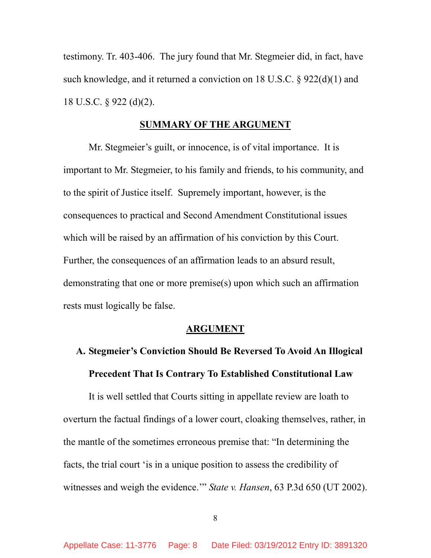testimony. Tr. 403-406. The jury found that Mr. Stegmeier did, in fact, have such knowledge, and it returned a conviction on 18 U.S.C. § 922(d)(1) and 18 U.S.C. § 922 (d)(2).

#### **SUMMARY OF THE ARGUMENT**

Mr. Stegmeier's guilt, or innocence, is of vital importance. It is important to Mr. Stegmeier, to his family and friends, to his community, and to the spirit of Justice itself. Supremely important, however, is the consequences to practical and Second Amendment Constitutional issues which will be raised by an affirmation of his conviction by this Court. Further, the consequences of an affirmation leads to an absurd result, demonstrating that one or more premise(s) upon which such an affirmation rests must logically be false.

#### **ARGUMENT**

# **A. Stegmeier's Conviction Should Be Reversed To Avoid An Illogical Precedent That Is Contrary To Established Constitutional Law**

It is well settled that Courts sitting in appellate review are loath to overturn the factual findings of a lower court, cloaking themselves, rather, in the mantle of the sometimes erroneous premise that: "In determining the facts, the trial court 'is in a unique position to assess the credibility of witnesses and weigh the evidence.'" *State v. Hansen*, 63 P.3d 650 (UT 2002).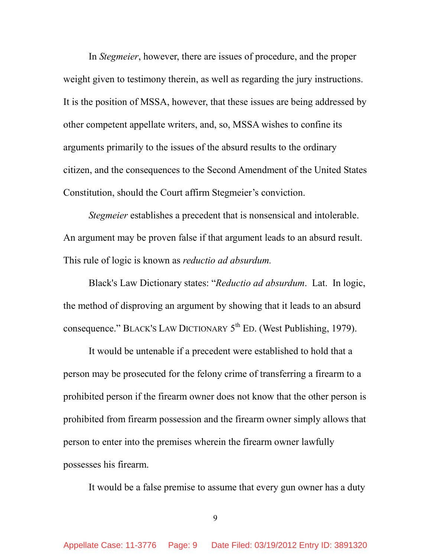In *Stegmeier*, however, there are issues of procedure, and the proper weight given to testimony therein, as well as regarding the jury instructions. It is the position of MSSA, however, that these issues are being addressed by other competent appellate writers, and, so, MSSA wishes to confine its arguments primarily to the issues of the absurd results to the ordinary citizen, and the consequences to the Second Amendment of the United States Constitution, should the Court affirm Stegmeier's conviction.

*Stegmeier* establishes a precedent that is nonsensical and intolerable. An argument may be proven false if that argument leads to an absurd result. This rule of logic is known as *reductio ad absurdum.* 

Black's Law Dictionary states: "*Reductio ad absurdum*. Lat. In logic, the method of disproving an argument by showing that it leads to an absurd consequence." BLACK'S LAW DICTIONARY  $5^{th}$  ED. (West Publishing, 1979).

 It would be untenable if a precedent were established to hold that a person may be prosecuted for the felony crime of transferring a firearm to a prohibited person if the firearm owner does not know that the other person is prohibited from firearm possession and the firearm owner simply allows that person to enter into the premises wherein the firearm owner lawfully possesses his firearm.

It would be a false premise to assume that every gun owner has a duty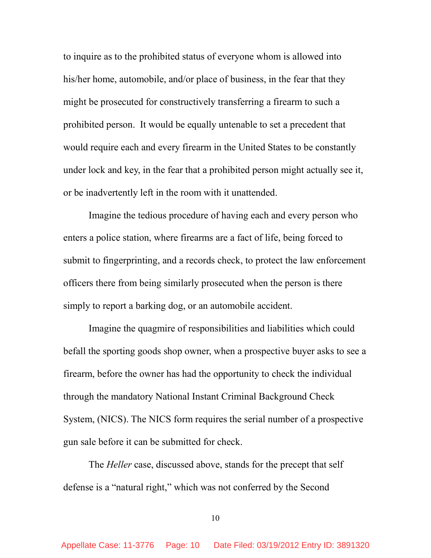to inquire as to the prohibited status of everyone whom is allowed into his/her home, automobile, and/or place of business, in the fear that they might be prosecuted for constructively transferring a firearm to such a prohibited person. It would be equally untenable to set a precedent that would require each and every firearm in the United States to be constantly under lock and key, in the fear that a prohibited person might actually see it, or be inadvertently left in the room with it unattended.

 Imagine the tedious procedure of having each and every person who enters a police station, where firearms are a fact of life, being forced to submit to fingerprinting, and a records check, to protect the law enforcement officers there from being similarly prosecuted when the person is there simply to report a barking dog, or an automobile accident.

Imagine the quagmire of responsibilities and liabilities which could befall the sporting goods shop owner, when a prospective buyer asks to see a firearm, before the owner has had the opportunity to check the individual through the mandatory National Instant Criminal Background Check System, (NICS). The NICS form requires the serial number of a prospective gun sale before it can be submitted for check.

 The *Heller* case, discussed above, stands for the precept that self defense is a "natural right," which was not conferred by the Second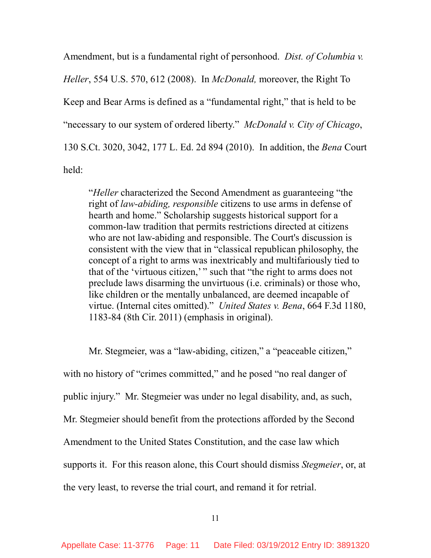Amendment, but is a fundamental right of personhood. *Dist. of Columbia v. Heller*, 554 U.S. 570, 612 (2008). In *McDonald,* moreover, the Right To Keep and Bear Arms is defined as a "fundamental right," that is held to be "necessary to our system of ordered liberty." *McDonald v. City of Chicago*, 130 S.Ct. 3020, 3042, 177 L. Ed. 2d 894 (2010). In addition, the *Bena* Court held:

"*Heller* characterized the Second Amendment as guaranteeing "the right of *law-abiding, responsible* citizens to use arms in defense of hearth and home." Scholarship suggests historical support for a common-law tradition that permits restrictions directed at citizens who are not law-abiding and responsible. The Court's discussion is consistent with the view that in "classical republican philosophy, the concept of a right to arms was inextricably and multifariously tied to that of the 'virtuous citizen,' " such that "the right to arms does not preclude laws disarming the unvirtuous (i.e. criminals) or those who, like children or the mentally unbalanced, are deemed incapable of virtue. (Internal cites omitted)." *United States v. Bena*, 664 F.3d 1180, 1183-84 (8th Cir. 2011) (emphasis in original).

Mr. Stegmeier, was a "law-abiding, citizen," a "peaceable citizen," with no history of "crimes committed," and he posed "no real danger of public injury." Mr. Stegmeier was under no legal disability, and, as such, Mr. Stegmeier should benefit from the protections afforded by the Second Amendment to the United States Constitution, and the case law which supports it. For this reason alone, this Court should dismiss *Stegmeier*, or, at the very least, to reverse the trial court, and remand it for retrial.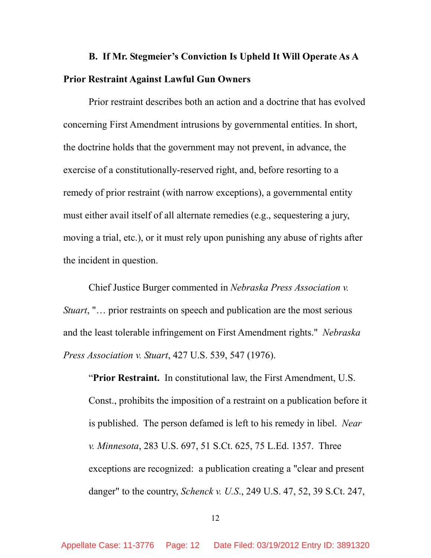## **B. If Mr. Stegmeier's Conviction Is Upheld It Will Operate As A Prior Restraint Against Lawful Gun Owners**

Prior restraint describes both an action and a doctrine that has evolved concerning First Amendment intrusions by governmental entities. In short, the doctrine holds that the government may not prevent, in advance, the exercise of a constitutionally-reserved right, and, before resorting to a remedy of prior restraint (with narrow exceptions), a governmental entity must either avail itself of all alternate remedies (e.g., sequestering a jury, moving a trial, etc.), or it must rely upon punishing any abuse of rights after the incident in question.

Chief Justice Burger commented in *Nebraska Press Association v. Stuart*, "… prior restraints on speech and publication are the most serious and the least tolerable infringement on First Amendment rights." *Nebraska Press Association v. Stuart*, 427 U.S. 539, 547 (1976).

"**Prior Restraint.** In constitutional law, the First Amendment, U.S. Const., prohibits the imposition of a restraint on a publication before it is published. The person defamed is left to his remedy in libel. *Near v. Minnesota*, 283 U.S. 697, 51 S.Ct. 625, 75 L.Ed. 1357. Three exceptions are recognized: a publication creating a "clear and present danger" to the country, *Schenck v. U.S*., 249 U.S. 47, 52, 39 S.Ct. 247,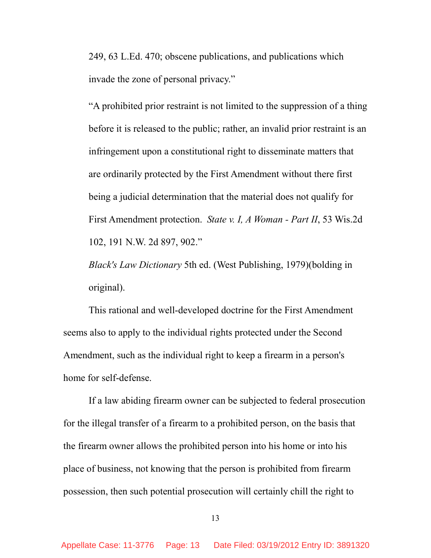249, 63 L.Ed. 470; obscene publications, and publications which invade the zone of personal privacy."

"A prohibited prior restraint is not limited to the suppression of a thing before it is released to the public; rather, an invalid prior restraint is an infringement upon a constitutional right to disseminate matters that are ordinarily protected by the First Amendment without there first being a judicial determination that the material does not qualify for First Amendment protection. *State v. I, A Woman - Part II*, 53 Wis.2d 102, 191 N.W. 2d 897, 902."

*Black's Law Dictionary* 5th ed. (West Publishing, 1979)(bolding in original).

This rational and well-developed doctrine for the First Amendment seems also to apply to the individual rights protected under the Second Amendment, such as the individual right to keep a firearm in a person's home for self-defense.

If a law abiding firearm owner can be subjected to federal prosecution for the illegal transfer of a firearm to a prohibited person, on the basis that the firearm owner allows the prohibited person into his home or into his place of business, not knowing that the person is prohibited from firearm possession, then such potential prosecution will certainly chill the right to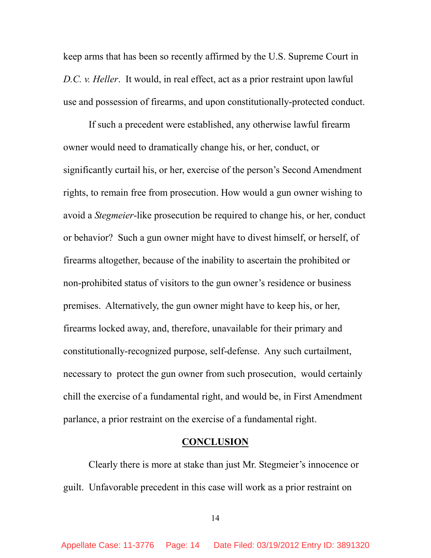keep arms that has been so recently affirmed by the U.S. Supreme Court in *D.C. v. Heller*. It would, in real effect, act as a prior restraint upon lawful use and possession of firearms, and upon constitutionally-protected conduct.

If such a precedent were established, any otherwise lawful firearm owner would need to dramatically change his, or her, conduct, or significantly curtail his, or her, exercise of the person's Second Amendment rights, to remain free from prosecution. How would a gun owner wishing to avoid a *Stegmeier*-like prosecution be required to change his, or her, conduct or behavior? Such a gun owner might have to divest himself, or herself, of firearms altogether, because of the inability to ascertain the prohibited or non-prohibited status of visitors to the gun owner's residence or business premises. Alternatively, the gun owner might have to keep his, or her, firearms locked away, and, therefore, unavailable for their primary and constitutionally-recognized purpose, self-defense. Any such curtailment, necessary to protect the gun owner from such prosecution, would certainly chill the exercise of a fundamental right, and would be, in First Amendment parlance, a prior restraint on the exercise of a fundamental right.

#### **CONCLUSION**

 Clearly there is more at stake than just Mr. Stegmeier's innocence or guilt. Unfavorable precedent in this case will work as a prior restraint on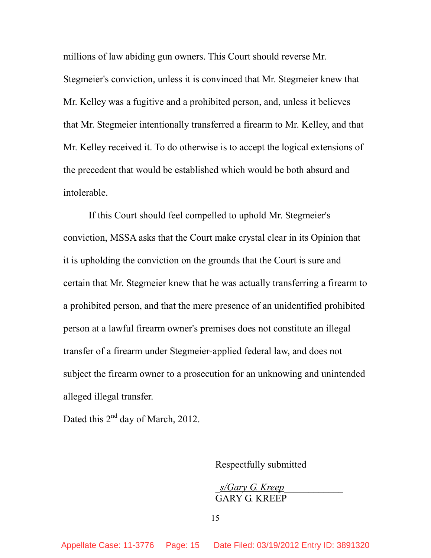millions of law abiding gun owners. This Court should reverse Mr. Stegmeier's conviction, unless it is convinced that Mr. Stegmeier knew that Mr. Kelley was a fugitive and a prohibited person, and, unless it believes that Mr. Stegmeier intentionally transferred a firearm to Mr. Kelley, and that Mr. Kelley received it. To do otherwise is to accept the logical extensions of the precedent that would be established which would be both absurd and intolerable.

 If this Court should feel compelled to uphold Mr. Stegmeier's conviction, MSSA asks that the Court make crystal clear in its Opinion that it is upholding the conviction on the grounds that the Court is sure and certain that Mr. Stegmeier knew that he was actually transferring a firearm to a prohibited person, and that the mere presence of an unidentified prohibited person at a lawful firearm owner's premises does not constitute an illegal transfer of a firearm under Stegmeier-applied federal law, and does not subject the firearm owner to a prosecution for an unknowing and unintended alleged illegal transfer.

Dated this  $2<sup>nd</sup>$  day of March, 2012.

Respectfully submitted

 \_*s/Gary G. Kreep*\_\_\_\_\_\_\_\_\_\_\_\_ GARY G. KREEP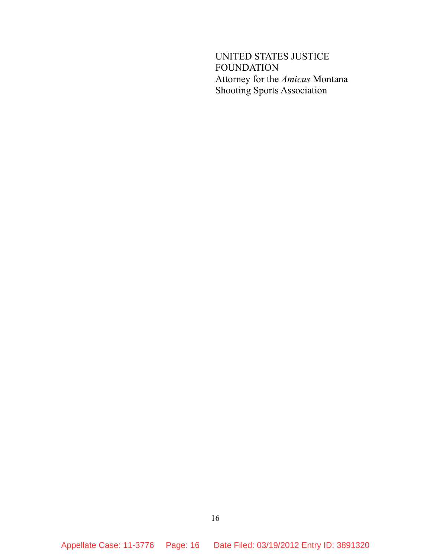UNITED STATES JUSTICE FOUNDATION Attorney for the *Amicus* Montana Shooting Sports Association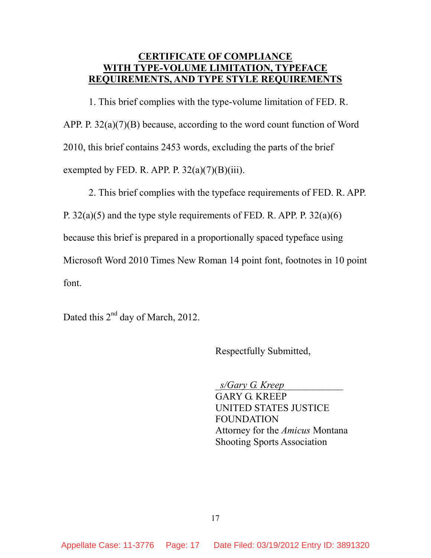#### **CERTIFICATE OF COMPLIANCE WITH TYPE-VOLUME LIMITATION, TYPEFACE REQUIREMENTS, AND TYPE STYLE REQUIREMENTS**

 1. This brief complies with the type-volume limitation of FED. R. APP. P. 32(a)(7)(B) because, according to the word count function of Word 2010, this brief contains 2453 words, excluding the parts of the brief exempted by FED. R. APP. P.  $32(a)(7)(B)(iii)$ .

2. This brief complies with the typeface requirements of FED. R. APP.

P.  $32(a)(5)$  and the type style requirements of FED. R. APP. P.  $32(a)(6)$ 

because this brief is prepared in a proportionally spaced typeface using

Microsoft Word 2010 Times New Roman 14 point font, footnotes in 10 point

font.

Dated this 2<sup>nd</sup> day of March, 2012.

Respectfully Submitted,

\_*s/Gary G. Kreep*\_\_\_\_\_\_\_\_\_\_\_\_

 GARY G. KREEP UNITED STATES JUSTICE FOUNDATION Attorney for the *Amicus* Montana Shooting Sports Association